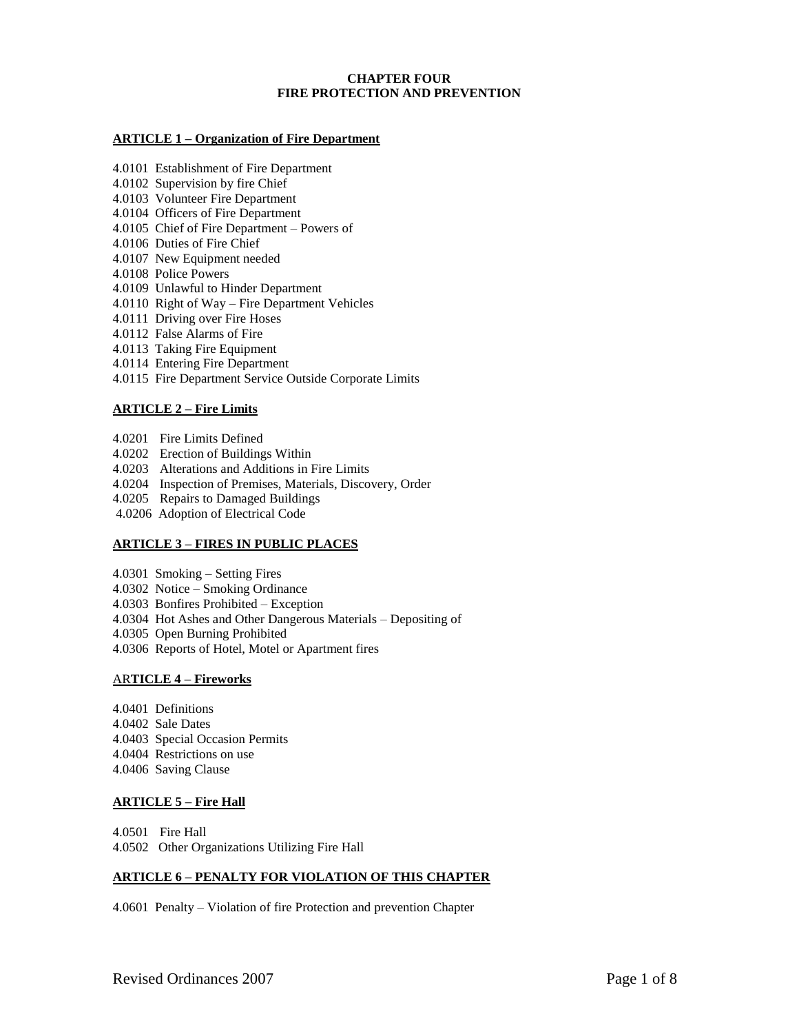## **CHAPTER FOUR FIRE PROTECTION AND PREVENTION**

# **ARTICLE 1 – Organization of Fire Department**

- 4.0101 Establishment of Fire Department
- 4.0102 Supervision by fire Chief
- 4.0103 Volunteer Fire Department
- 4.0104 Officers of Fire Department
- 4.0105 Chief of Fire Department Powers of
- 4.0106 Duties of Fire Chief
- 4.0107 New Equipment needed
- 4.0108 Police Powers
- 4.0109 Unlawful to Hinder Department
- 4.0110 Right of Way Fire Department Vehicles
- 4.0111 Driving over Fire Hoses
- 4.0112 False Alarms of Fire
- 4.0113 Taking Fire Equipment
- 4.0114 Entering Fire Department
- 4.0115 Fire Department Service Outside Corporate Limits

# **ARTICLE 2 – Fire Limits**

- 4.0201 Fire Limits Defined
- 4.0202 Erection of Buildings Within
- 4.0203 Alterations and Additions in Fire Limits
- 4.0204 Inspection of Premises, Materials, Discovery, Order
- 4.0205 Repairs to Damaged Buildings
- 4.0206 Adoption of Electrical Code

#### **ARTICLE 3 – FIRES IN PUBLIC PLACES**

- 4.0301 Smoking Setting Fires
- 4.0302 Notice Smoking Ordinance
- 4.0303 Bonfires Prohibited Exception
- 4.0304 Hot Ashes and Other Dangerous Materials Depositing of
- 4.0305 Open Burning Prohibited
- 4.0306 Reports of Hotel, Motel or Apartment fires

#### AR**TICLE 4 – Fireworks**

4.0401 Definitions 4.0402 Sale Dates 4.0403 Special Occasion Permits 4.0404 Restrictions on use 4.0406 Saving Clause

## **ARTICLE 5 – Fire Hall**

4.0501 Fire Hall 4.0502 Other Organizations Utilizing Fire Hall

# **ARTICLE 6 – PENALTY FOR VIOLATION OF THIS CHAPTER**

4.0601 Penalty – Violation of fire Protection and prevention Chapter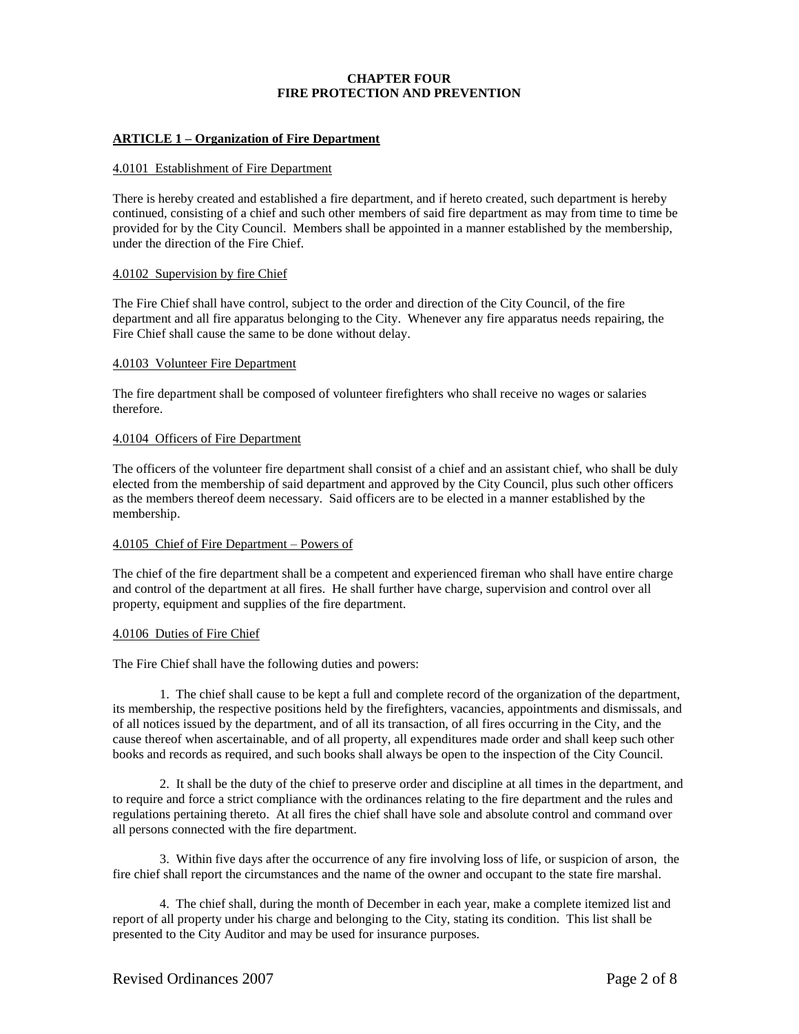## **CHAPTER FOUR FIRE PROTECTION AND PREVENTION**

### **ARTICLE 1 – Organization of Fire Department**

#### 4.0101 Establishment of Fire Department

There is hereby created and established a fire department, and if hereto created, such department is hereby continued, consisting of a chief and such other members of said fire department as may from time to time be provided for by the City Council. Members shall be appointed in a manner established by the membership, under the direction of the Fire Chief.

#### 4.0102 Supervision by fire Chief

The Fire Chief shall have control, subject to the order and direction of the City Council, of the fire department and all fire apparatus belonging to the City. Whenever any fire apparatus needs repairing, the Fire Chief shall cause the same to be done without delay.

#### 4.0103 Volunteer Fire Department

The fire department shall be composed of volunteer firefighters who shall receive no wages or salaries therefore.

#### 4.0104 Officers of Fire Department

The officers of the volunteer fire department shall consist of a chief and an assistant chief, who shall be duly elected from the membership of said department and approved by the City Council, plus such other officers as the members thereof deem necessary. Said officers are to be elected in a manner established by the membership.

#### 4.0105 Chief of Fire Department – Powers of

The chief of the fire department shall be a competent and experienced fireman who shall have entire charge and control of the department at all fires. He shall further have charge, supervision and control over all property, equipment and supplies of the fire department.

#### 4.0106 Duties of Fire Chief

The Fire Chief shall have the following duties and powers:

1. The chief shall cause to be kept a full and complete record of the organization of the department, its membership, the respective positions held by the firefighters, vacancies, appointments and dismissals, and of all notices issued by the department, and of all its transaction, of all fires occurring in the City, and the cause thereof when ascertainable, and of all property, all expenditures made order and shall keep such other books and records as required, and such books shall always be open to the inspection of the City Council.

2. It shall be the duty of the chief to preserve order and discipline at all times in the department, and to require and force a strict compliance with the ordinances relating to the fire department and the rules and regulations pertaining thereto. At all fires the chief shall have sole and absolute control and command over all persons connected with the fire department.

3. Within five days after the occurrence of any fire involving loss of life, or suspicion of arson, the fire chief shall report the circumstances and the name of the owner and occupant to the state fire marshal.

4. The chief shall, during the month of December in each year, make a complete itemized list and report of all property under his charge and belonging to the City, stating its condition. This list shall be presented to the City Auditor and may be used for insurance purposes.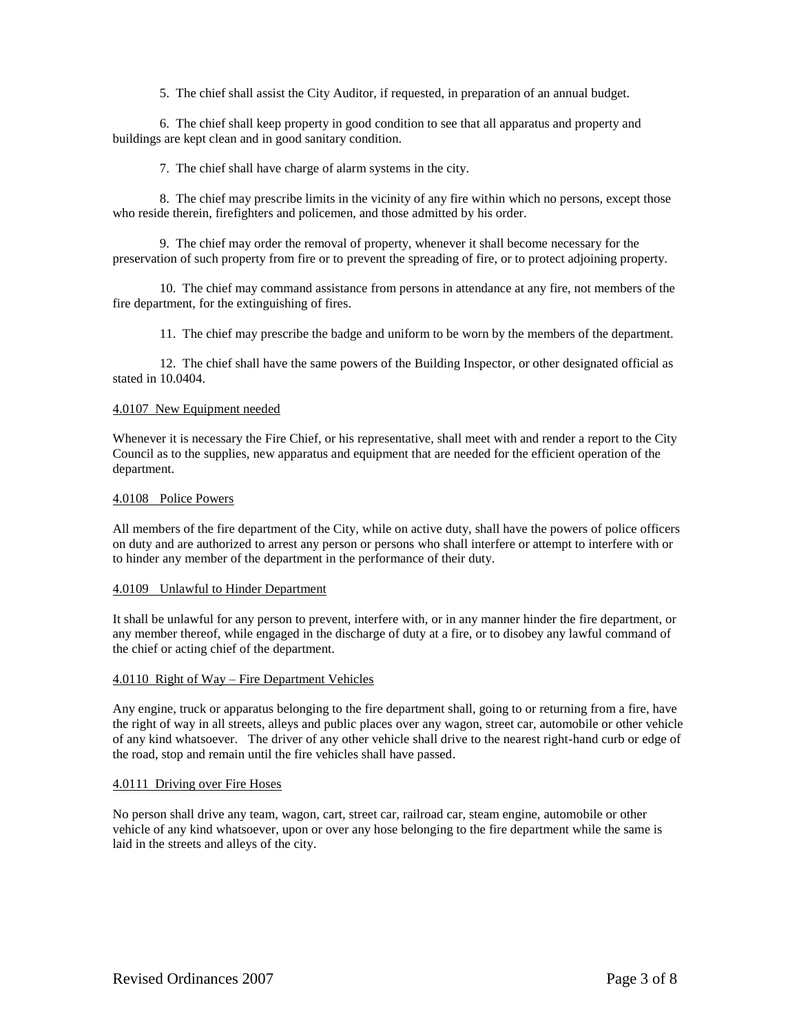5. The chief shall assist the City Auditor, if requested, in preparation of an annual budget.

6. The chief shall keep property in good condition to see that all apparatus and property and buildings are kept clean and in good sanitary condition.

7. The chief shall have charge of alarm systems in the city.

8. The chief may prescribe limits in the vicinity of any fire within which no persons, except those who reside therein, firefighters and policemen, and those admitted by his order.

9. The chief may order the removal of property, whenever it shall become necessary for the preservation of such property from fire or to prevent the spreading of fire, or to protect adjoining property.

10. The chief may command assistance from persons in attendance at any fire, not members of the fire department, for the extinguishing of fires.

11. The chief may prescribe the badge and uniform to be worn by the members of the department.

12. The chief shall have the same powers of the Building Inspector, or other designated official as stated in 10.0404.

## 4.0107 New Equipment needed

Whenever it is necessary the Fire Chief, or his representative, shall meet with and render a report to the City Council as to the supplies, new apparatus and equipment that are needed for the efficient operation of the department.

#### 4.0108 Police Powers

All members of the fire department of the City, while on active duty, shall have the powers of police officers on duty and are authorized to arrest any person or persons who shall interfere or attempt to interfere with or to hinder any member of the department in the performance of their duty.

#### 4.0109 Unlawful to Hinder Department

It shall be unlawful for any person to prevent, interfere with, or in any manner hinder the fire department, or any member thereof, while engaged in the discharge of duty at a fire, or to disobey any lawful command of the chief or acting chief of the department.

#### 4.0110 Right of Way – Fire Department Vehicles

Any engine, truck or apparatus belonging to the fire department shall, going to or returning from a fire, have the right of way in all streets, alleys and public places over any wagon, street car, automobile or other vehicle of any kind whatsoever. The driver of any other vehicle shall drive to the nearest right-hand curb or edge of the road, stop and remain until the fire vehicles shall have passed.

#### 4.0111 Driving over Fire Hoses

No person shall drive any team, wagon, cart, street car, railroad car, steam engine, automobile or other vehicle of any kind whatsoever, upon or over any hose belonging to the fire department while the same is laid in the streets and alleys of the city.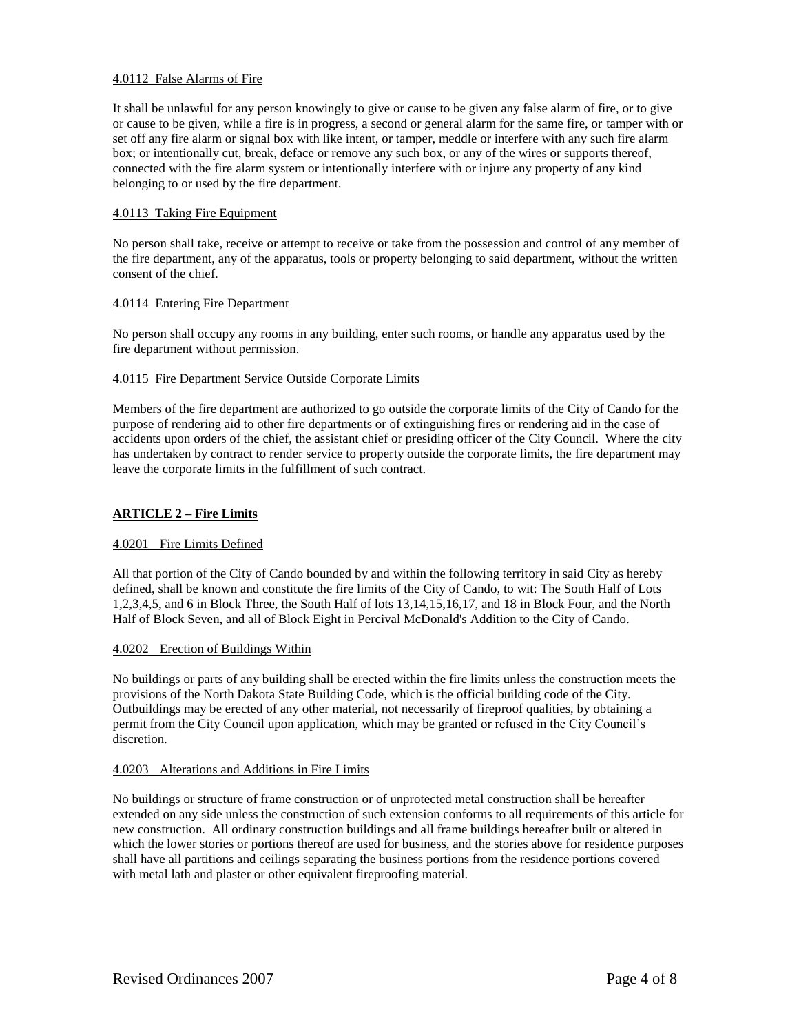## 4.0112 False Alarms of Fire

It shall be unlawful for any person knowingly to give or cause to be given any false alarm of fire, or to give or cause to be given, while a fire is in progress, a second or general alarm for the same fire, or tamper with or set off any fire alarm or signal box with like intent, or tamper, meddle or interfere with any such fire alarm box; or intentionally cut, break, deface or remove any such box, or any of the wires or supports thereof, connected with the fire alarm system or intentionally interfere with or injure any property of any kind belonging to or used by the fire department.

## 4.0113 Taking Fire Equipment

No person shall take, receive or attempt to receive or take from the possession and control of any member of the fire department, any of the apparatus, tools or property belonging to said department, without the written consent of the chief.

#### 4.0114 Entering Fire Department

No person shall occupy any rooms in any building, enter such rooms, or handle any apparatus used by the fire department without permission.

## 4.0115 Fire Department Service Outside Corporate Limits

Members of the fire department are authorized to go outside the corporate limits of the City of Cando for the purpose of rendering aid to other fire departments or of extinguishing fires or rendering aid in the case of accidents upon orders of the chief, the assistant chief or presiding officer of the City Council. Where the city has undertaken by contract to render service to property outside the corporate limits, the fire department may leave the corporate limits in the fulfillment of such contract.

# **ARTICLE 2 – Fire Limits**

## 4.0201 Fire Limits Defined

All that portion of the City of Cando bounded by and within the following territory in said City as hereby defined, shall be known and constitute the fire limits of the City of Cando, to wit: The South Half of Lots 1,2,3,4,5, and 6 in Block Three, the South Half of lots 13,14,15,16,17, and 18 in Block Four, and the North Half of Block Seven, and all of Block Eight in Percival McDonald's Addition to the City of Cando.

#### 4.0202 Erection of Buildings Within

No buildings or parts of any building shall be erected within the fire limits unless the construction meets the provisions of the North Dakota State Building Code, which is the official building code of the City. Outbuildings may be erected of any other material, not necessarily of fireproof qualities, by obtaining a permit from the City Council upon application, which may be granted or refused in the City Council's discretion.

#### 4.0203 Alterations and Additions in Fire Limits

No buildings or structure of frame construction or of unprotected metal construction shall be hereafter extended on any side unless the construction of such extension conforms to all requirements of this article for new construction. All ordinary construction buildings and all frame buildings hereafter built or altered in which the lower stories or portions thereof are used for business, and the stories above for residence purposes shall have all partitions and ceilings separating the business portions from the residence portions covered with metal lath and plaster or other equivalent fireproofing material.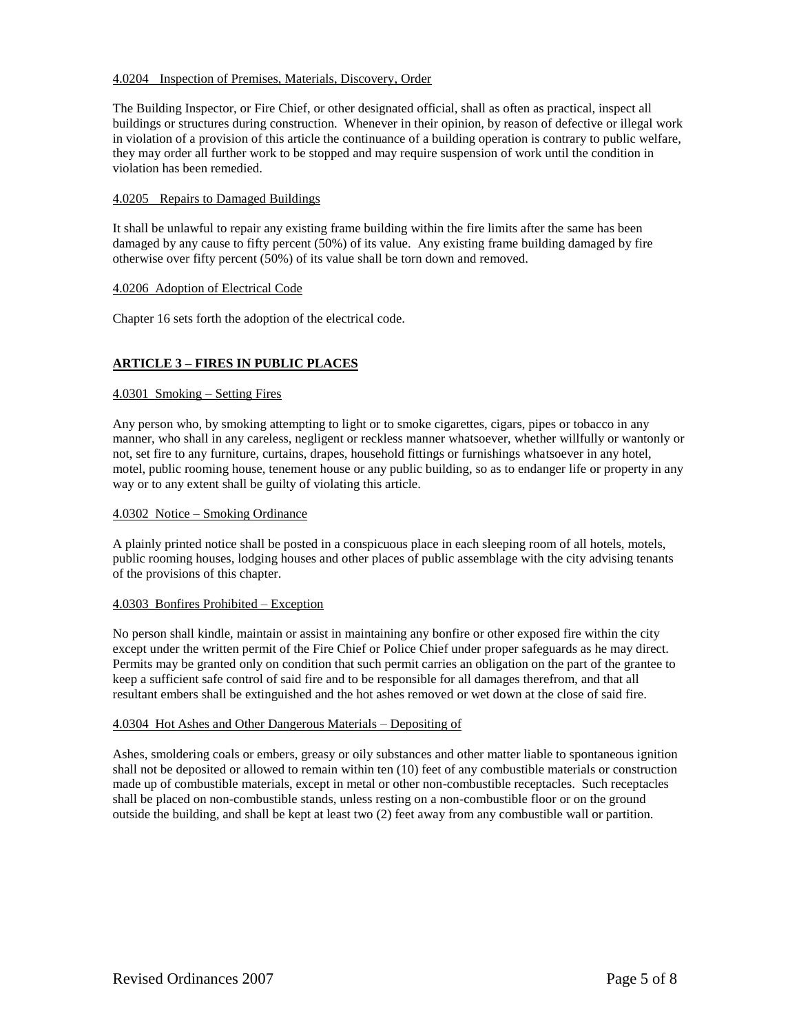## 4.0204 Inspection of Premises, Materials, Discovery, Order

The Building Inspector, or Fire Chief, or other designated official, shall as often as practical, inspect all buildings or structures during construction. Whenever in their opinion, by reason of defective or illegal work in violation of a provision of this article the continuance of a building operation is contrary to public welfare, they may order all further work to be stopped and may require suspension of work until the condition in violation has been remedied.

### 4.0205 Repairs to Damaged Buildings

It shall be unlawful to repair any existing frame building within the fire limits after the same has been damaged by any cause to fifty percent (50%) of its value. Any existing frame building damaged by fire otherwise over fifty percent (50%) of its value shall be torn down and removed.

#### 4.0206 Adoption of Electrical Code

Chapter 16 sets forth the adoption of the electrical code.

## **ARTICLE 3 – FIRES IN PUBLIC PLACES**

## 4.0301 Smoking – Setting Fires

Any person who, by smoking attempting to light or to smoke cigarettes, cigars, pipes or tobacco in any manner, who shall in any careless, negligent or reckless manner whatsoever, whether willfully or wantonly or not, set fire to any furniture, curtains, drapes, household fittings or furnishings whatsoever in any hotel, motel, public rooming house, tenement house or any public building, so as to endanger life or property in any way or to any extent shall be guilty of violating this article.

## 4.0302 Notice – Smoking Ordinance

A plainly printed notice shall be posted in a conspicuous place in each sleeping room of all hotels, motels, public rooming houses, lodging houses and other places of public assemblage with the city advising tenants of the provisions of this chapter.

#### 4.0303 Bonfires Prohibited – Exception

No person shall kindle, maintain or assist in maintaining any bonfire or other exposed fire within the city except under the written permit of the Fire Chief or Police Chief under proper safeguards as he may direct. Permits may be granted only on condition that such permit carries an obligation on the part of the grantee to keep a sufficient safe control of said fire and to be responsible for all damages therefrom, and that all resultant embers shall be extinguished and the hot ashes removed or wet down at the close of said fire.

## 4.0304 Hot Ashes and Other Dangerous Materials – Depositing of

Ashes, smoldering coals or embers, greasy or oily substances and other matter liable to spontaneous ignition shall not be deposited or allowed to remain within ten (10) feet of any combustible materials or construction made up of combustible materials, except in metal or other non-combustible receptacles. Such receptacles shall be placed on non-combustible stands, unless resting on a non-combustible floor or on the ground outside the building, and shall be kept at least two (2) feet away from any combustible wall or partition.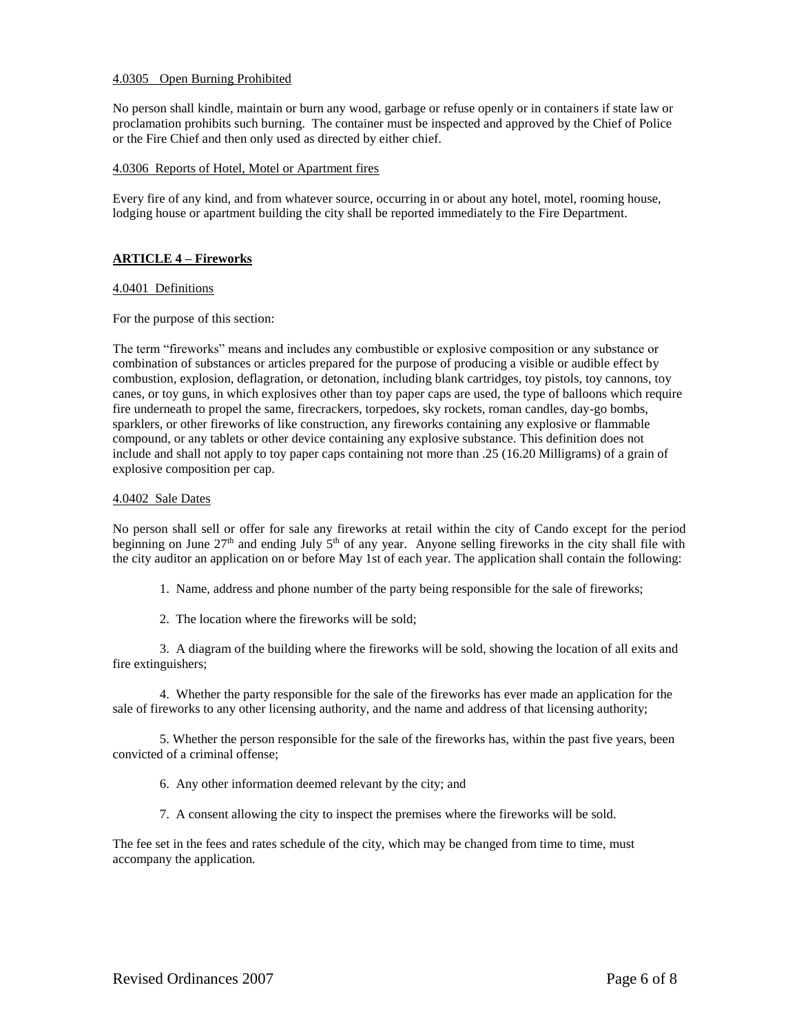## 4.0305 Open Burning Prohibited

No person shall kindle, maintain or burn any wood, garbage or refuse openly or in containers if state law or proclamation prohibits such burning. The container must be inspected and approved by the Chief of Police or the Fire Chief and then only used as directed by either chief.

### 4.0306 Reports of Hotel, Motel or Apartment fires

Every fire of any kind, and from whatever source, occurring in or about any hotel, motel, rooming house, lodging house or apartment building the city shall be reported immediately to the Fire Department.

## **ARTICLE 4 – Fireworks**

## 4.0401 Definitions

For the purpose of this section:

The term "fireworks" means and includes any combustible or explosive composition or any substance or combination of substances or articles prepared for the purpose of producing a visible or audible effect by combustion, explosion, deflagration, or detonation, including blank cartridges, toy pistols, toy cannons, toy canes, or toy guns, in which explosives other than toy paper caps are used, the type of balloons which require fire underneath to propel the same, firecrackers, torpedoes, sky rockets, roman candles, day-go bombs, sparklers, or other fireworks of like construction, any fireworks containing any explosive or flammable compound, or any tablets or other device containing any explosive substance. This definition does not include and shall not apply to toy paper caps containing not more than .25 (16.20 Milligrams) of a grain of explosive composition per cap.

## 4.0402 Sale Dates

No person shall sell or offer for sale any fireworks at retail within the city of Cando except for the period beginning on June 27<sup>th</sup> and ending July 5<sup>th</sup> of any year. Anyone selling fireworks in the city shall file with the city auditor an application on or before May 1st of each year. The application shall contain the following:

- 1. Name, address and phone number of the party being responsible for the sale of fireworks;
- 2. The location where the fireworks will be sold;

3. A diagram of the building where the fireworks will be sold, showing the location of all exits and fire extinguishers;

4. Whether the party responsible for the sale of the fireworks has ever made an application for the sale of fireworks to any other licensing authority, and the name and address of that licensing authority;

5. Whether the person responsible for the sale of the fireworks has, within the past five years, been convicted of a criminal offense;

6. Any other information deemed relevant by the city; and

7. A consent allowing the city to inspect the premises where the fireworks will be sold.

The fee set in the fees and rates schedule of the city, which may be changed from time to time, must accompany the application.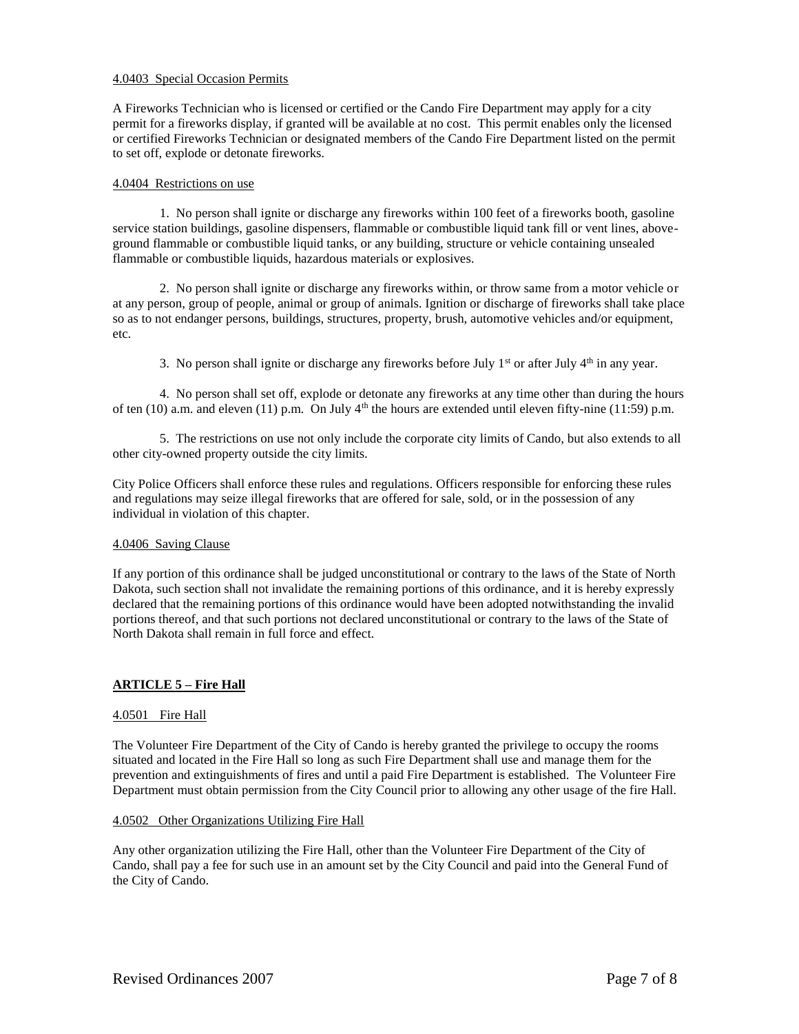## 4.0403 Special Occasion Permits

A Fireworks Technician who is licensed or certified or the Cando Fire Department may apply for a city permit for a fireworks display, if granted will be available at no cost. This permit enables only the licensed or certified Fireworks Technician or designated members of the Cando Fire Department listed on the permit to set off, explode or detonate fireworks.

## 4.0404 Restrictions on use

1. No person shall ignite or discharge any fireworks within 100 feet of a fireworks booth, gasoline service station buildings, gasoline dispensers, flammable or combustible liquid tank fill or vent lines, aboveground flammable or combustible liquid tanks, or any building, structure or vehicle containing unsealed flammable or combustible liquids, hazardous materials or explosives.

2. No person shall ignite or discharge any fireworks within, or throw same from a motor vehicle or at any person, group of people, animal or group of animals. Ignition or discharge of fireworks shall take place so as to not endanger persons, buildings, structures, property, brush, automotive vehicles and/or equipment, etc.

3. No person shall ignite or discharge any fireworks before July  $1<sup>st</sup>$  or after July  $4<sup>th</sup>$  in any year.

4. No person shall set off, explode or detonate any fireworks at any time other than during the hours of ten (10) a.m. and eleven (11) p.m. On July  $4<sup>th</sup>$  the hours are extended until eleven fifty-nine (11:59) p.m.

5. The restrictions on use not only include the corporate city limits of Cando, but also extends to all other city-owned property outside the city limits.

City Police Officers shall enforce these rules and regulations. Officers responsible for enforcing these rules and regulations may seize illegal fireworks that are offered for sale, sold, or in the possession of any individual in violation of this chapter.

#### 4.0406 Saving Clause

If any portion of this ordinance shall be judged unconstitutional or contrary to the laws of the State of North Dakota, such section shall not invalidate the remaining portions of this ordinance, and it is hereby expressly declared that the remaining portions of this ordinance would have been adopted notwithstanding the invalid portions thereof, and that such portions not declared unconstitutional or contrary to the laws of the State of North Dakota shall remain in full force and effect.

## **ARTICLE 5 – Fire Hall**

#### 4.0501 Fire Hall

The Volunteer Fire Department of the City of Cando is hereby granted the privilege to occupy the rooms situated and located in the Fire Hall so long as such Fire Department shall use and manage them for the prevention and extinguishments of fires and until a paid Fire Department is established. The Volunteer Fire Department must obtain permission from the City Council prior to allowing any other usage of the fire Hall.

### 4.0502 Other Organizations Utilizing Fire Hall

Any other organization utilizing the Fire Hall, other than the Volunteer Fire Department of the City of Cando, shall pay a fee for such use in an amount set by the City Council and paid into the General Fund of the City of Cando.